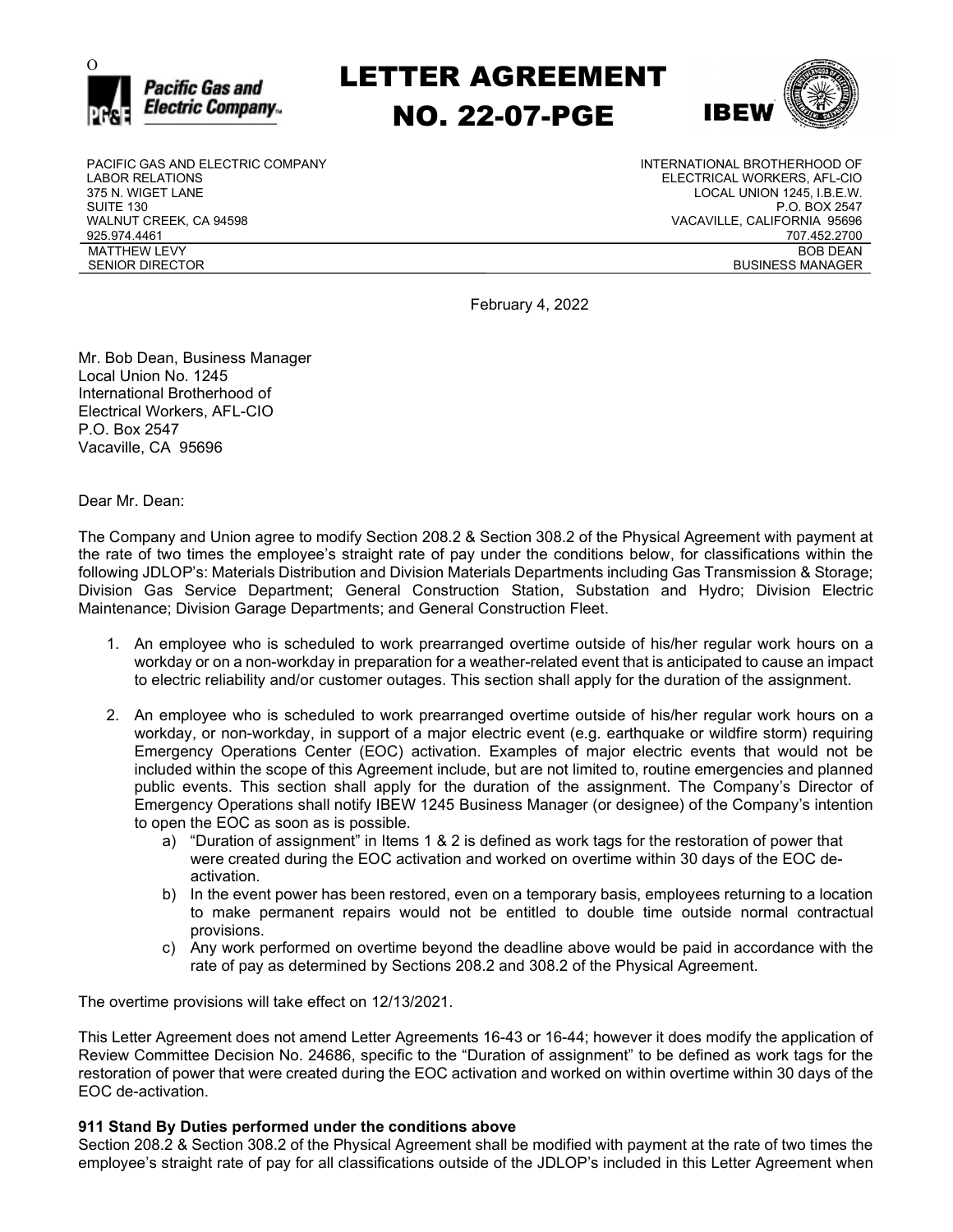

 $\sum_{\text{Pacific Gas and}}$  LETTER AGREEMENT NO. 22-07-PGE



PACIFIC GAS AND ELECTRIC COMPANY LABOR RELATIONS 375 N. WIGET LANE SUITE 130 WALNUT CREEK, CA 94598 925.974.4461 MATTHEW LEVY SENIOR DIRECTOR

INTERNATIONAL BROTHERHOOD OF ELECTRICAL WORKERS, AFL-CIO LOCAL UNION 1245, I.B.E.W. P.O. BOX 2547 VACAVILLE, CALIFORNIA 95696 707.452.2700 BOB DEAN BUSINESS MANAGER

February 4, 2022

Mr. Bob Dean, Business Manager Local Union No. 1245 International Brotherhood of Electrical Workers, AFL-CIO P.O. Box 2547 Vacaville, CA 95696

Dear Mr. Dean:

The Company and Union agree to modify Section 208.2 & Section 308.2 of the Physical Agreement with payment at the rate of two times the employee's straight rate of pay under the conditions below, for classifications within the following JDLOP's: Materials Distribution and Division Materials Departments including Gas Transmission & Storage; Division Gas Service Department; General Construction Station, Substation and Hydro; Division Electric Maintenance; Division Garage Departments; and General Construction Fleet.

- 1. An employee who is scheduled to work prearranged overtime outside of his/her regular work hours on a workday or on a non-workday in preparation for a weather-related event that is anticipated to cause an impact to electric reliability and/or customer outages. This section shall apply for the duration of the assignment.
- 2. An employee who is scheduled to work prearranged overtime outside of his/her regular work hours on a workday, or non-workday, in support of a major electric event (e.g. earthquake or wildfire storm) requiring Emergency Operations Center (EOC) activation. Examples of major electric events that would not be included within the scope of this Agreement include, but are not limited to, routine emergencies and planned public events. This section shall apply for the duration of the assignment. The Company's Director of Emergency Operations shall notify IBEW 1245 Business Manager (or designee) of the Company's intention to open the EOC as soon as is possible.
	- a) "Duration of assignment" in Items 1 & 2 is defined as work tags for the restoration of power that were created during the EOC activation and worked on overtime within 30 days of the EOC deactivation.
	- b) In the event power has been restored, even on a temporary basis, employees returning to a location to make permanent repairs would not be entitled to double time outside normal contractual provisions.
	- c) Any work performed on overtime beyond the deadline above would be paid in accordance with the rate of pay as determined by Sections 208.2 and 308.2 of the Physical Agreement.

The overtime provisions will take effect on 12/13/2021.

This Letter Agreement does not amend Letter Agreements 16-43 or 16-44; however it does modify the application of Review Committee Decision No. 24686, specific to the "Duration of assignment" to be defined as work tags for the restoration of power that were created during the EOC activation and worked on within overtime within 30 days of the EOC de-activation.

## 911 Stand By Duties performed under the conditions above

Section 208.2 & Section 308.2 of the Physical Agreement shall be modified with payment at the rate of two times the employee's straight rate of pay for all classifications outside of the JDLOP's included in this Letter Agreement when